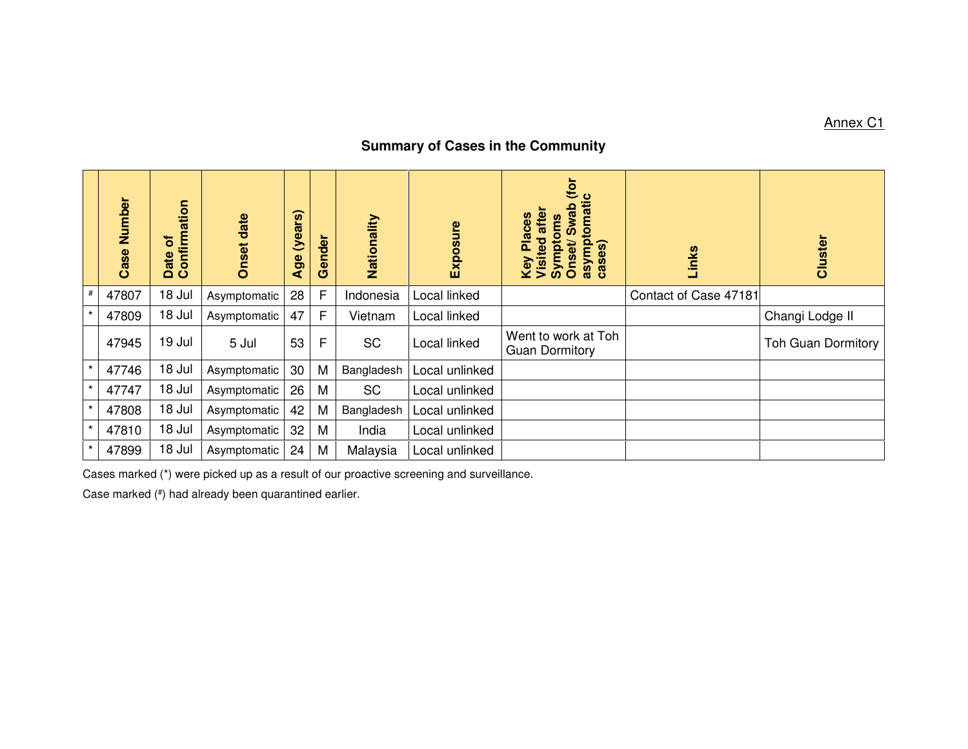## **Summary of Cases in the Community**

|         | Number<br>Case | Date of<br>Confirmation | Onset date   | (years)<br>Age | Gender | Nationality | Exposure       | (for<br>asymptomatic<br><b>Swab</b><br>after<br><b>Places</b><br><b>Symptoms</b><br>Key Pla<br>Visited<br>Visited<br>Onset<br>cases) | Links                 | Cluster                   |
|---------|----------------|-------------------------|--------------|----------------|--------|-------------|----------------|--------------------------------------------------------------------------------------------------------------------------------------|-----------------------|---------------------------|
| $\#$    | 47807          | 18 Jul                  | Asymptomatic | 28             | F      | Indonesia   | Local linked   |                                                                                                                                      | Contact of Case 47181 |                           |
| $\star$ | 47809          | 18 Jul                  | Asymptomatic | 47             | F      | Vietnam     | Local linked   |                                                                                                                                      |                       | Changi Lodge II           |
|         | 47945          | 19 Jul                  | 5 Jul        | 53             | F      | <b>SC</b>   | Local linked   | Went to work at Toh<br><b>Guan Dormitory</b>                                                                                         |                       | <b>Toh Guan Dormitory</b> |
| $\star$ | 47746          | 18 Jul                  | Asymptomatic | 30             | M      | Bangladesh  | Local unlinked |                                                                                                                                      |                       |                           |
| $\star$ | 47747          | 18 Jul                  | Asymptomatic | 26             | M      | <b>SC</b>   | Local unlinked |                                                                                                                                      |                       |                           |
| $\star$ | 47808          | 18 Jul                  | Asymptomatic | 42             | M      | Bangladesh  | Local unlinked |                                                                                                                                      |                       |                           |
| $\star$ | 47810          | 18 Jul                  | Asymptomatic | 32             | M      | India       | Local unlinked |                                                                                                                                      |                       |                           |
| $\star$ | 47899          | 18 Jul                  | Asymptomatic | 24             | M      | Malaysia    | Local unlinked |                                                                                                                                      |                       |                           |

Cases marked (\*) were picked up as a result of our proactive screening and surveillance.

Case marked (#) had already been quarantined earlier.

## Annex C1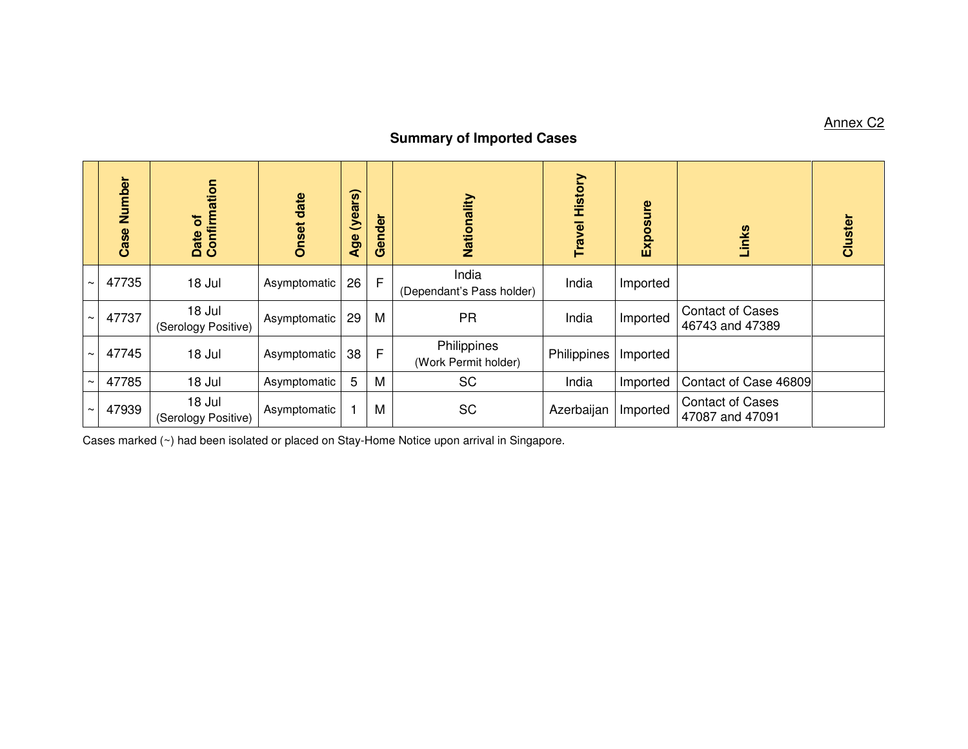## **Summary of Imported Cases**

|                       | Number<br>Case | Confirmation<br>$\overline{\sigma}$<br>Date | <b>Onset date</b> | (years)<br>Age | nder<br><b>Ge</b> | Nationality                         | <b>Travel History</b> | Exposure | Links                                      | Cluster |
|-----------------------|----------------|---------------------------------------------|-------------------|----------------|-------------------|-------------------------------------|-----------------------|----------|--------------------------------------------|---------|
| $\tilde{\phantom{a}}$ | 47735          | 18 Jul                                      | Asymptomatic      | 26             | F                 | India<br>(Dependant's Pass holder)  | India                 | Imported |                                            |         |
| $\tilde{\phantom{a}}$ | 47737          | 18 Jul<br>(Serology Positive)               | Asymptomatic      | 29             | M                 | <b>PR</b>                           | India                 | Imported | <b>Contact of Cases</b><br>46743 and 47389 |         |
| $\sim$                | 47745          | 18 Jul                                      | Asymptomatic      | 38             | F                 | Philippines<br>(Work Permit holder) | Philippines           | Imported |                                            |         |
| $\sim$                | 47785          | 18 Jul                                      | Asymptomatic      | 5              | M                 | <b>SC</b>                           | India                 | Imported | Contact of Case 46809                      |         |
|                       | 47939          | 18 Jul<br>(Serology Positive)               | Asymptomatic      |                | M                 | <b>SC</b>                           | Azerbaijan            | Imported | <b>Contact of Cases</b><br>47087 and 47091 |         |

Cases marked (~) had been isolated or placed on Stay-Home Notice upon arrival in Singapore.

Annex C2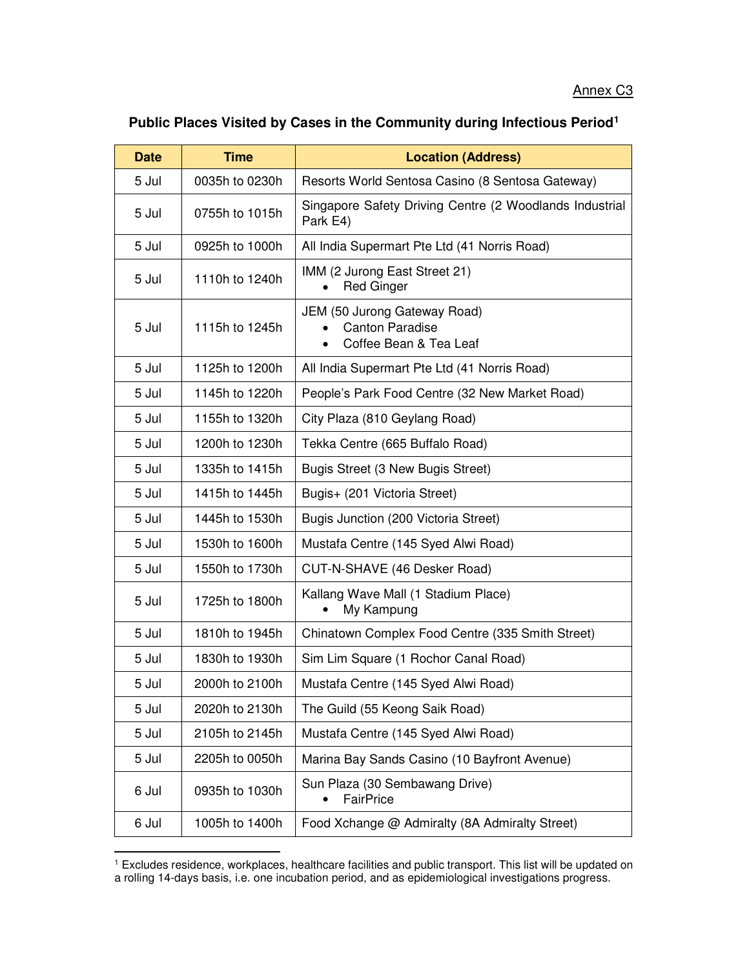## **Public Places Visited by Cases in the Community during Infectious Period<sup>1</sup>**

| <b>Date</b> | <b>Time</b>    | <b>Location (Address)</b>                                                        |
|-------------|----------------|----------------------------------------------------------------------------------|
| 5 Jul       | 0035h to 0230h | Resorts World Sentosa Casino (8 Sentosa Gateway)                                 |
| 5 Jul       | 0755h to 1015h | Singapore Safety Driving Centre (2 Woodlands Industrial<br>Park E4)              |
| 5 Jul       | 0925h to 1000h | All India Supermart Pte Ltd (41 Norris Road)                                     |
| 5 Jul       | 1110h to 1240h | IMM (2 Jurong East Street 21)<br><b>Red Ginger</b>                               |
| 5 Jul       | 1115h to 1245h | JEM (50 Jurong Gateway Road)<br><b>Canton Paradise</b><br>Coffee Bean & Tea Leaf |
| 5 Jul       | 1125h to 1200h | All India Supermart Pte Ltd (41 Norris Road)                                     |
| 5 Jul       | 1145h to 1220h | People's Park Food Centre (32 New Market Road)                                   |
| 5 Jul       | 1155h to 1320h | City Plaza (810 Geylang Road)                                                    |
| 5 Jul       | 1200h to 1230h | Tekka Centre (665 Buffalo Road)                                                  |
| 5 Jul       | 1335h to 1415h | Bugis Street (3 New Bugis Street)                                                |
| 5 Jul       | 1415h to 1445h | Bugis+ (201 Victoria Street)                                                     |
| 5 Jul       | 1445h to 1530h | Bugis Junction (200 Victoria Street)                                             |
| 5 Jul       | 1530h to 1600h | Mustafa Centre (145 Syed Alwi Road)                                              |
| 5 Jul       | 1550h to 1730h | CUT-N-SHAVE (46 Desker Road)                                                     |
| 5 Jul       | 1725h to 1800h | Kallang Wave Mall (1 Stadium Place)<br>My Kampung                                |
| 5 Jul       | 1810h to 1945h | Chinatown Complex Food Centre (335 Smith Street)                                 |
| 5 Jul       | 1830h to 1930h | Sim Lim Square (1 Rochor Canal Road)                                             |
| 5 Jul       | 2000h to 2100h | Mustafa Centre (145 Syed Alwi Road)                                              |
| 5 Jul       | 2020h to 2130h | The Guild (55 Keong Saik Road)                                                   |
| 5 Jul       | 2105h to 2145h | Mustafa Centre (145 Syed Alwi Road)                                              |
| 5 Jul       | 2205h to 0050h | Marina Bay Sands Casino (10 Bayfront Avenue)                                     |
| 6 Jul       | 0935h to 1030h | Sun Plaza (30 Sembawang Drive)<br>FairPrice                                      |
| 6 Jul       | 1005h to 1400h | Food Xchange @ Admiralty (8A Admiralty Street)                                   |

<sup>1</sup> Excludes residence, workplaces, healthcare facilities and public transport. This list will be updated on a rolling 14-days basis, i.e. one incubation period, and as epidemiological investigations progress.

<u>.</u>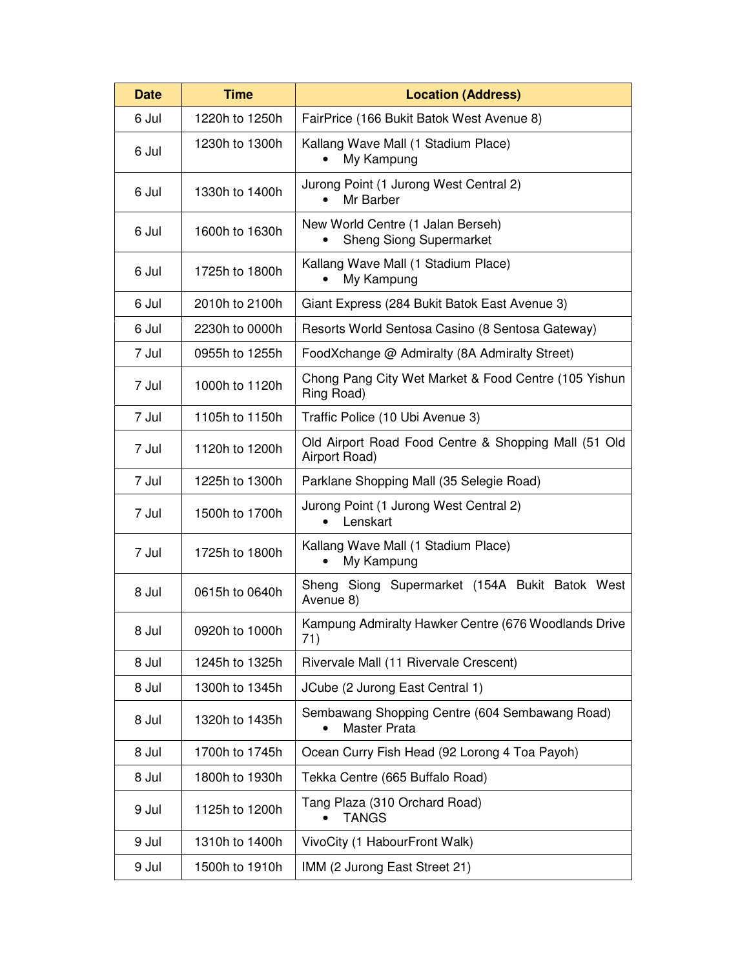| <b>Date</b> | <b>Time</b>    | <b>Location (Address)</b>                                             |  |  |
|-------------|----------------|-----------------------------------------------------------------------|--|--|
| 6 Jul       | 1220h to 1250h | FairPrice (166 Bukit Batok West Avenue 8)                             |  |  |
| 6 Jul       | 1230h to 1300h | Kallang Wave Mall (1 Stadium Place)<br>My Kampung                     |  |  |
| 6 Jul       | 1330h to 1400h | Jurong Point (1 Jurong West Central 2)<br>Mr Barber                   |  |  |
| 6 Jul       | 1600h to 1630h | New World Centre (1 Jalan Berseh)<br><b>Sheng Siong Supermarket</b>   |  |  |
| 6 Jul       | 1725h to 1800h | Kallang Wave Mall (1 Stadium Place)<br>My Kampung                     |  |  |
| 6 Jul       | 2010h to 2100h | Giant Express (284 Bukit Batok East Avenue 3)                         |  |  |
| 6 Jul       | 2230h to 0000h | Resorts World Sentosa Casino (8 Sentosa Gateway)                      |  |  |
| 7 Jul       | 0955h to 1255h | FoodXchange @ Admiralty (8A Admiralty Street)                         |  |  |
| 7 Jul       | 1000h to 1120h | Chong Pang City Wet Market & Food Centre (105 Yishun<br>Ring Road)    |  |  |
| 7 Jul       | 1105h to 1150h | Traffic Police (10 Ubi Avenue 3)                                      |  |  |
| 7 Jul       | 1120h to 1200h | Old Airport Road Food Centre & Shopping Mall (51 Old<br>Airport Road) |  |  |
| 7 Jul       | 1225h to 1300h | Parklane Shopping Mall (35 Selegie Road)                              |  |  |
| 7 Jul       | 1500h to 1700h | Jurong Point (1 Jurong West Central 2)<br>Lenskart                    |  |  |
| 7 Jul       | 1725h to 1800h | Kallang Wave Mall (1 Stadium Place)<br>My Kampung                     |  |  |
| 8 Jul       | 0615h to 0640h | Sheng Siong Supermarket (154A Bukit Batok West<br>Avenue 8)           |  |  |
| 8 Jul       | 0920h to 1000h | Kampung Admiralty Hawker Centre (676 Woodlands Drive<br>71)           |  |  |
| 8 Jul       | 1245h to 1325h | Rivervale Mall (11 Rivervale Crescent)                                |  |  |
| 8 Jul       | 1300h to 1345h | JCube (2 Jurong East Central 1)                                       |  |  |
| 8 Jul       | 1320h to 1435h | Sembawang Shopping Centre (604 Sembawang Road)<br>Master Prata        |  |  |
| 8 Jul       | 1700h to 1745h | Ocean Curry Fish Head (92 Lorong 4 Toa Payoh)                         |  |  |
| 8 Jul       | 1800h to 1930h | Tekka Centre (665 Buffalo Road)                                       |  |  |
| 9 Jul       | 1125h to 1200h | Tang Plaza (310 Orchard Road)<br><b>TANGS</b>                         |  |  |
| 9 Jul       | 1310h to 1400h | VivoCity (1 HabourFront Walk)                                         |  |  |
| 9 Jul       | 1500h to 1910h | IMM (2 Jurong East Street 21)                                         |  |  |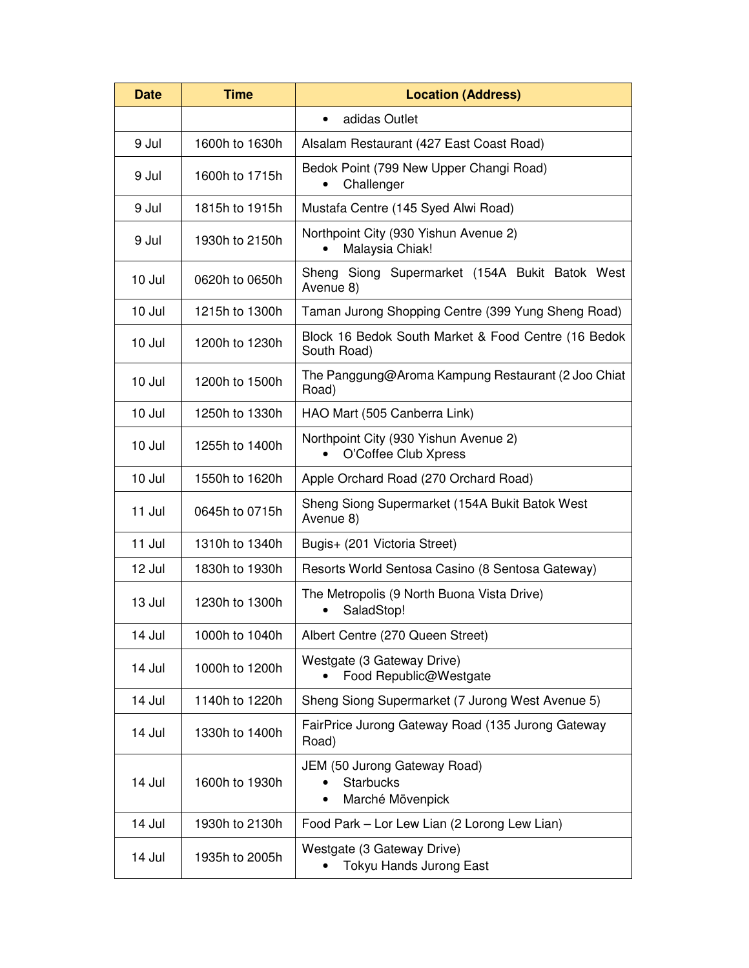| <b>Date</b> | <b>Time</b>    | <b>Location (Address)</b>                                                         |  |  |
|-------------|----------------|-----------------------------------------------------------------------------------|--|--|
|             |                | adidas Outlet<br>$\bullet$                                                        |  |  |
| 9 Jul       | 1600h to 1630h | Alsalam Restaurant (427 East Coast Road)                                          |  |  |
| 9 Jul       | 1600h to 1715h | Bedok Point (799 New Upper Changi Road)<br>Challenger                             |  |  |
| 9 Jul       | 1815h to 1915h | Mustafa Centre (145 Syed Alwi Road)                                               |  |  |
| 9 Jul       | 1930h to 2150h | Northpoint City (930 Yishun Avenue 2)<br>Malaysia Chiak!                          |  |  |
| 10 Jul      | 0620h to 0650h | Sheng Siong Supermarket (154A Bukit Batok West<br>Avenue 8)                       |  |  |
| 10 Jul      | 1215h to 1300h | Taman Jurong Shopping Centre (399 Yung Sheng Road)                                |  |  |
| 10 Jul      | 1200h to 1230h | Block 16 Bedok South Market & Food Centre (16 Bedok<br>South Road)                |  |  |
| 10 Jul      | 1200h to 1500h | The Panggung@Aroma Kampung Restaurant (2 Joo Chiat<br>Road)                       |  |  |
| 10 Jul      | 1250h to 1330h | HAO Mart (505 Canberra Link)                                                      |  |  |
| 10 Jul      | 1255h to 1400h | Northpoint City (930 Yishun Avenue 2)<br>O'Coffee Club Xpress                     |  |  |
| 10 Jul      | 1550h to 1620h | Apple Orchard Road (270 Orchard Road)                                             |  |  |
| 11 Jul      | 0645h to 0715h | Sheng Siong Supermarket (154A Bukit Batok West<br>Avenue 8)                       |  |  |
| 11 Jul      | 1310h to 1340h | Bugis+ (201 Victoria Street)                                                      |  |  |
| 12 Jul      | 1830h to 1930h | Resorts World Sentosa Casino (8 Sentosa Gateway)                                  |  |  |
| 13 Jul      | 1230h to 1300h | The Metropolis (9 North Buona Vista Drive)<br>SaladStop!                          |  |  |
| 14 Jul      | 1000h to 1040h | Albert Centre (270 Queen Street)                                                  |  |  |
| 14 Jul      | 1000h to 1200h | Westgate (3 Gateway Drive)<br>Food Republic@Westgate                              |  |  |
| 14 Jul      | 1140h to 1220h | Sheng Siong Supermarket (7 Jurong West Avenue 5)                                  |  |  |
| 14 Jul      | 1330h to 1400h | FairPrice Jurong Gateway Road (135 Jurong Gateway<br>Road)                        |  |  |
| 14 Jul      | 1600h to 1930h | JEM (50 Jurong Gateway Road)<br><b>Starbucks</b><br>Marché Mövenpick<br>$\bullet$ |  |  |
| 14 Jul      | 1930h to 2130h | Food Park - Lor Lew Lian (2 Lorong Lew Lian)                                      |  |  |
| 14 Jul      | 1935h to 2005h | Westgate (3 Gateway Drive)<br>Tokyu Hands Jurong East                             |  |  |